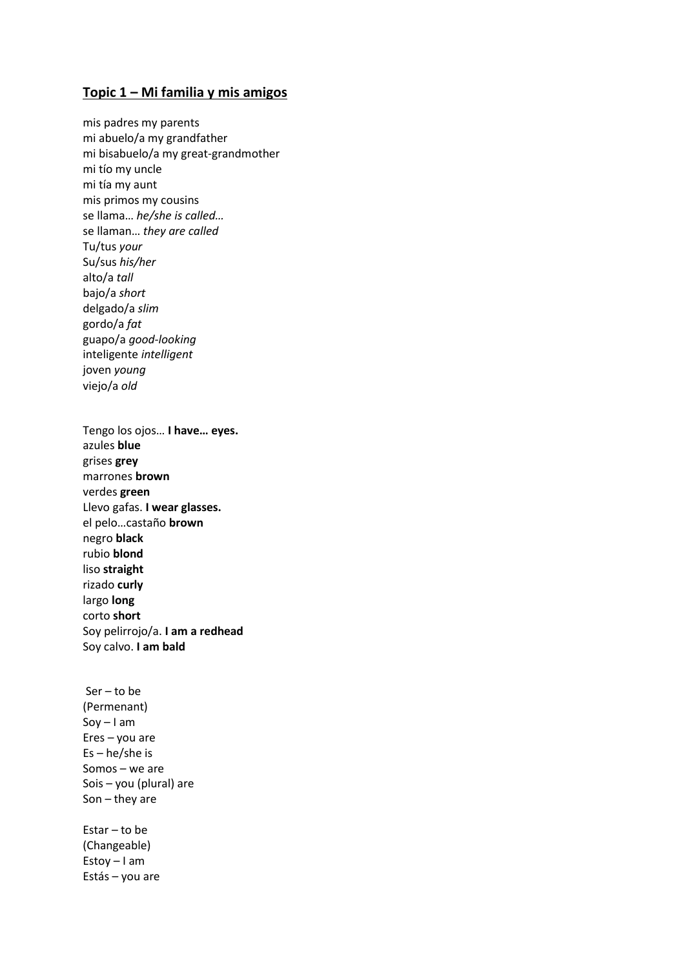## **Topic 1 – Mi familia y mis amigos**

mis padres my parents mi abuelo/a my grandfather mi bisabuelo/a my great-grandmother mi tío my uncle mi tía my aunt mis primos my cousins se llama… *he/she is called…*  se llaman… *they are called*  Tu/tus *your*  Su/sus *his/her*  alto/a *tall*  bajo/a *short*  delgado/a *slim*  gordo/a *fat*  guapo/a *good-looking*  inteligente *intelligent*  joven *young*  viejo/a *old* Tengo los ojos… **I have… eyes.**  azules **blue**  grises **grey**  marrones **brown**  verdes **green**  Llevo gafas. **I wear glasses.**  el pelo…castaño **brown**  negro **black**  rubio **blond**  liso **straight**  rizado **curly**  largo **long**  corto **short**  Soy pelirrojo/a. **I am a redhead**  Soy calvo. **I am bald** Ser – to be (Permenant)

Soy – I am Eres – you are Es – he/she is Somos – we are Sois – you (plural) are Son – they are

Estar – to be (Changeable) Estoy – I am Estás – you are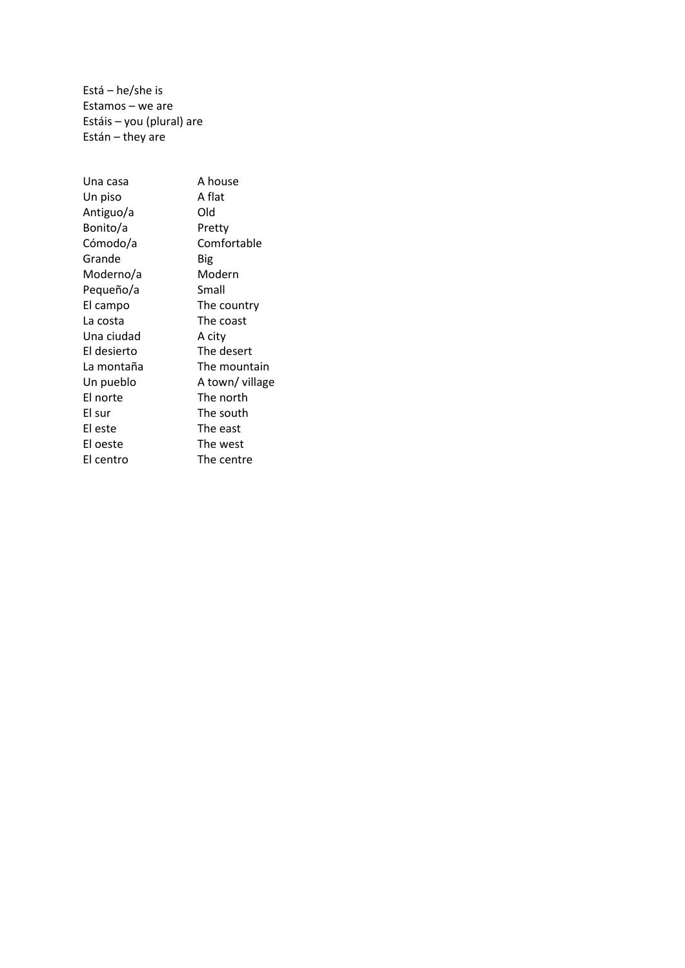Está – he/she is Estamos – we are Estáis – you (plural) are Están – they are

| Una casa    | A house        |  |
|-------------|----------------|--|
| Un piso     | A flat         |  |
| Antiguo/a   | Old            |  |
| Bonito/a    | Pretty         |  |
| Cómodo/a    | Comfortable    |  |
| Grande      | Big            |  |
| Moderno/a   | Modern         |  |
| Pequeño/a   | Small          |  |
| El campo    | The country    |  |
| La costa    | The coast      |  |
| Una ciudad  | A city         |  |
| El desierto | The desert     |  |
| La montaña  | The mountain   |  |
| Un pueblo   | A town/village |  |
| El norte    | The north      |  |
| El sur      | The south      |  |
| El este     | The east       |  |
| El oeste    | The west       |  |
| El centro   | The centre     |  |
|             |                |  |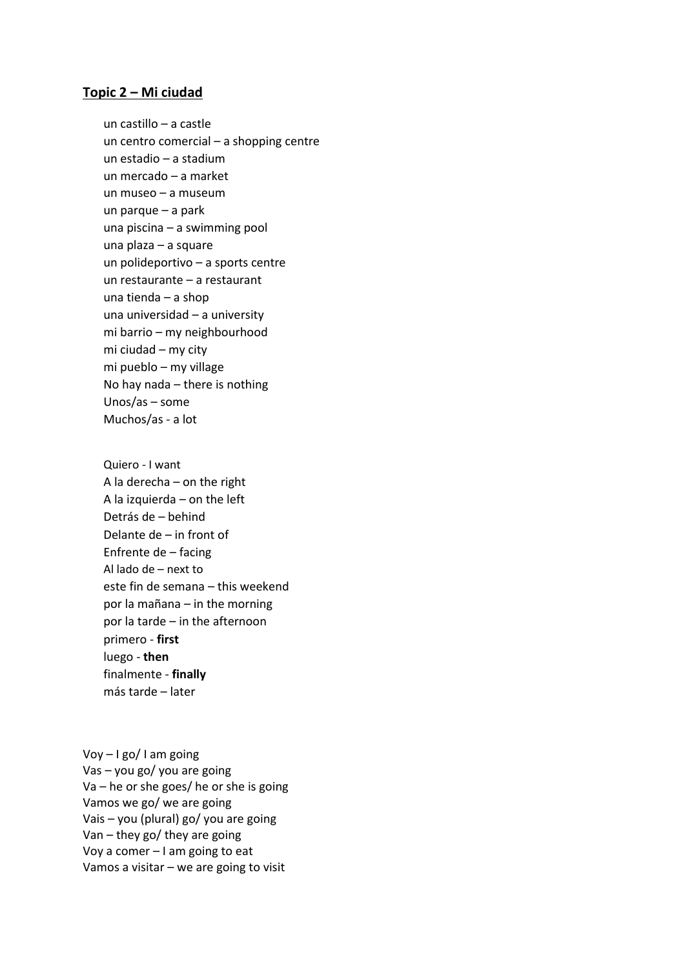#### **Topic 2 – Mi ciudad**

un castillo – a castle un centro comercial – a shopping centre un estadio – a stadium un mercado – a market un museo – a museum un parque – a park una piscina – a swimming pool una plaza – a square un polideportivo – a sports centre un restaurante – a restaurant una tienda – a shop una universidad – a university mi barrio – my neighbourhood mi ciudad – my city mi pueblo – my village No hay nada – there is nothing Unos/as – some Muchos/as - a lot

Quiero - I want A la derecha – on the right A la izquierda – on the left Detrás de – behind Delante de – in front of Enfrente de – facing Al lado de – next to este fin de semana – this weekend por la mañana – in the morning por la tarde – in the afternoon primero - **first**  luego - **then**  finalmente - **finally**  más tarde – later

Voy – I go/ I am going Vas – you go/ you are going Va – he or she goes/ he or she is going Vamos we go/ we are going Vais – you (plural) go/ you are going Van – they go/ they are going Voy a comer – I am going to eat Vamos a visitar – we are going to visit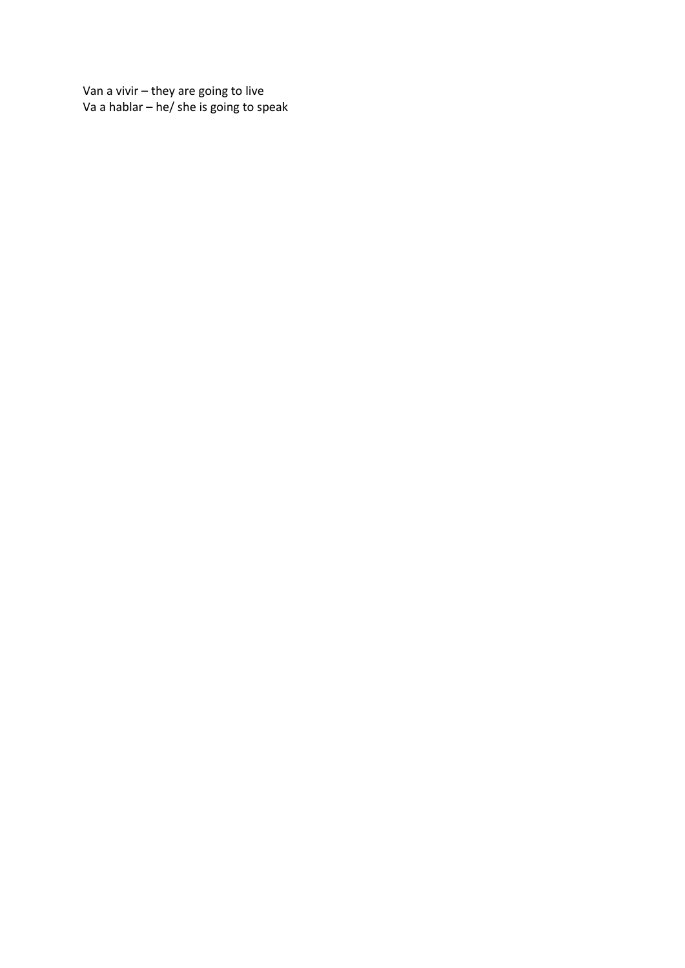Van a vivir – they are going to live Va a hablar – he/ she is going to speak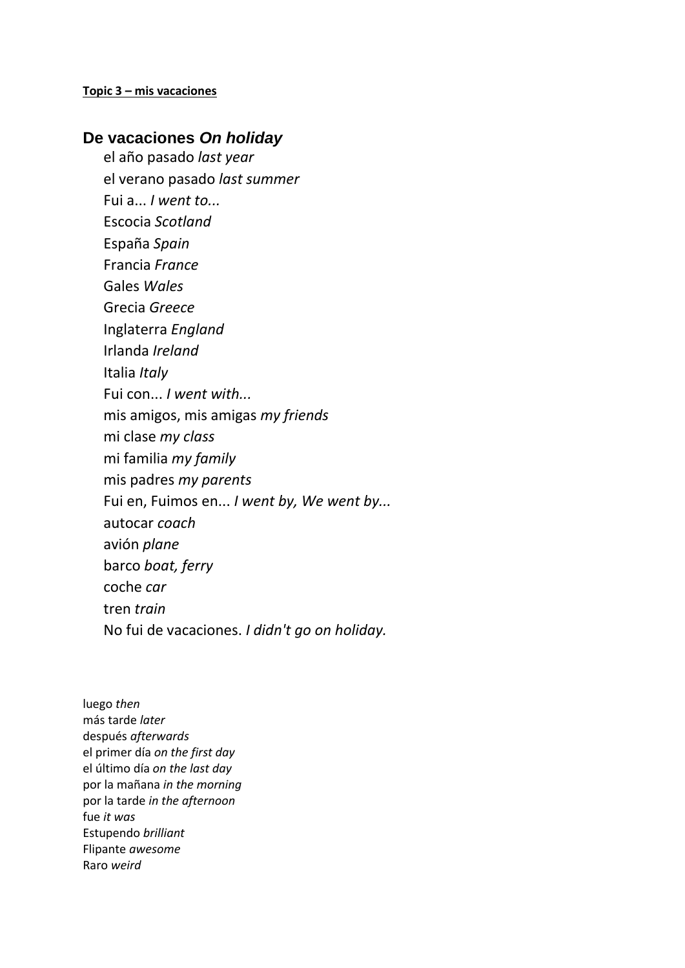## **Topic 3 – mis vacaciones**

# **De vacaciones** *On holiday*

el año pasado *last year* 

el verano pasado *last summer* 

Fui a... *I went to...* 

Escocia *Scotland* 

España *Spain* 

Francia *France* 

Gales *Wales* 

Grecia *Greece* 

Inglaterra *England* 

Irlanda *Ireland* 

Italia *Italy* 

Fui con... *I went with...* 

mis amigos, mis amigas *my friends* 

mi clase *my class* 

mi familia *my family* 

mis padres *my parents* 

Fui en, Fuimos en... *I went by, We went by...* 

autocar *coach* 

avión *plane* 

barco *boat, ferry* 

coche *car* 

tren *train* 

No fui de vacaciones. *I didn't go on holiday.* 

luego *then*  más tarde *later*  después *afterwards*  el primer día *on the first day*  el último día *on the last day*  por la mañana *in the morning*  por la tarde *in the afternoon*  fue *it was*  Estupendo *brilliant*  Flipante *awesome*  Raro *weird*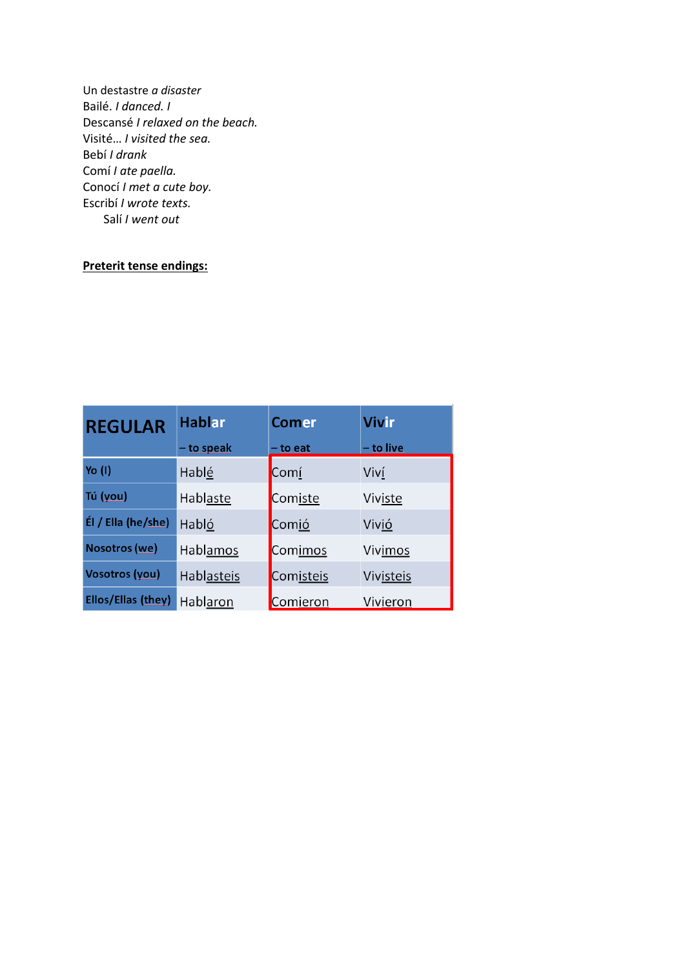Un destastre a disaster Bailé. I danced. I Descansé I relaxed on the beach. Visité... I visited the sea. Bebí I drank Comí I ate paella. Conocí I met a cute boy. Escribí I wrote texts. Salí I went out

# Preterit tense endings:

| <b>REGULAR</b>       | <b>Hablar</b> | <b>Comer</b> | <b>Vivir</b> |
|----------------------|---------------|--------------|--------------|
|                      | - to speak    | - to eat     | - to live    |
| Yo (I)               | Hablé         | Comí         | Viví         |
| Tú (you)             | Hablaste      | Comiste      | Viviste      |
| Él / Ella (he/she)   | Habló         | Comió        | Vivió        |
| <b>Nosotros</b> (we) | Hablamos      | Comimos      | Vivimos      |
| Vosotros (you)       | Hablasteis    | Comisteis    | Vivisteis    |
| Ellos/Ellas (they)   | Hablaron      | Comieron     | Vivieron     |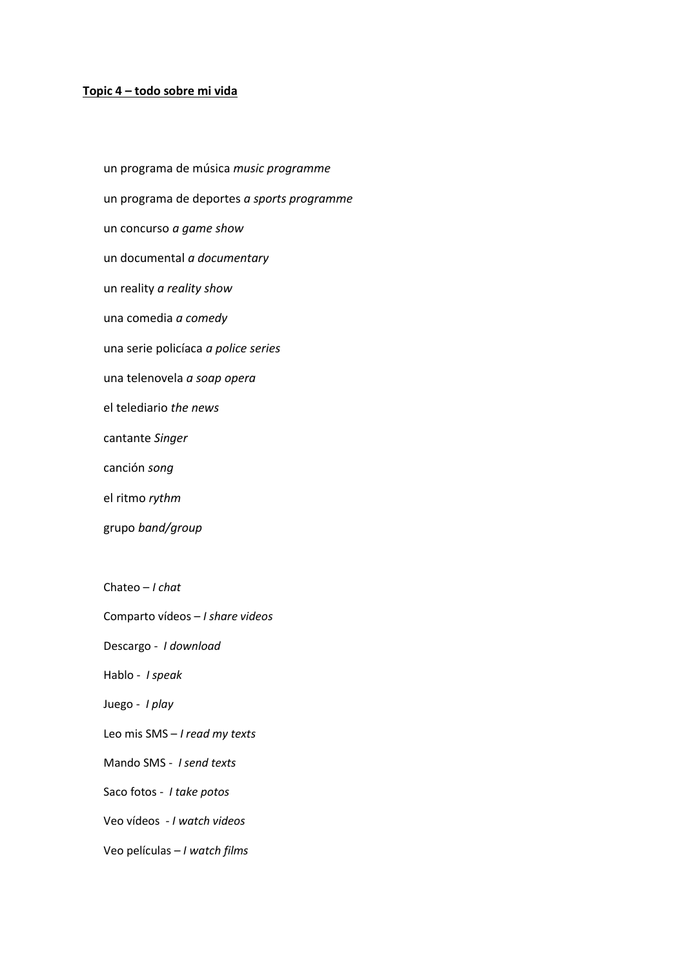### **Topic 4 – todo sobre mi vida**

un programa de música *music programme*  un programa de deportes *a sports programme*  un concurso *a game show*  un documental *a documentary*  un reality *a reality show*  una comedia *a comedy* una serie policíaca *a police series*  una telenovela *a soap opera*  el telediario *the news*  cantante *Singer*  canción *song*  el ritmo *rythm*  grupo *band/group*  Chateo – *I chat*  Comparto vídeos – *I share videos*  Descargo - *I download*  Hablo - *I speak*  Juego - *I play*  Leo mis SMS – *I read my texts* 

Mando SMS - *I send texts* 

Saco fotos - *I take potos* 

Veo vídeos - *I watch videos* 

Veo películas – *I watch films*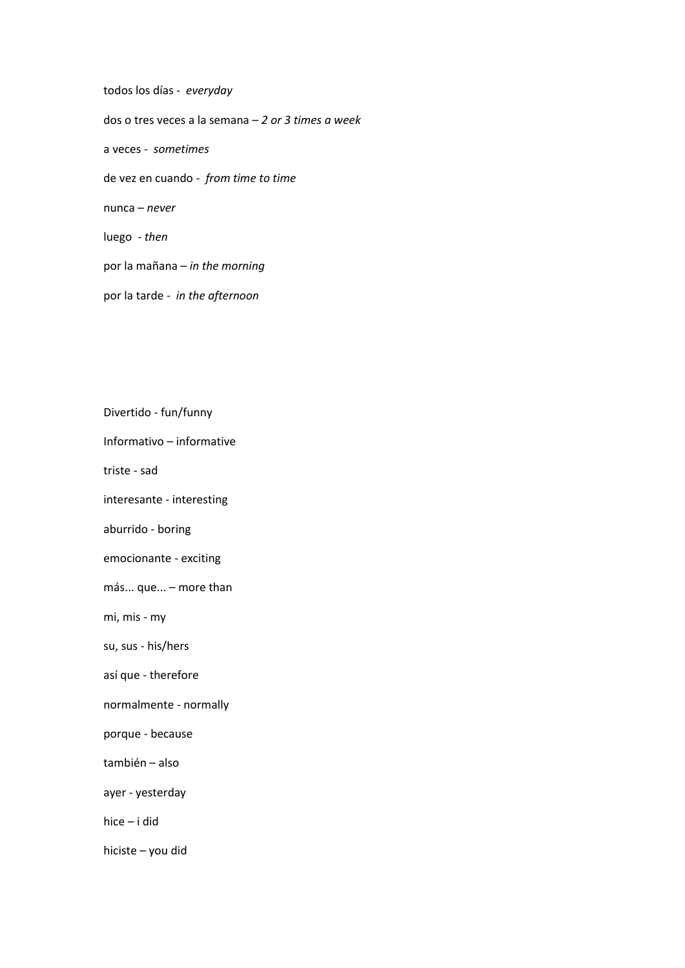todos los días - *everyday*  dos o tres veces a la semana – *2 or 3 times a week* a veces - *sometimes* de vez en cuando - *from time to time*  nunca – *never*  luego - *then* por la mañana – *in the morning*  por la tarde - *in the afternoon* 

Divertido - fun/funny Informativo – informative triste - sad interesante - interesting aburrido - boring emocionante - exciting más... que... – more than mi, mis - my su, sus - his/hers así que - therefore normalmente - normally porque - because también – also ayer - yesterday hice – i did hiciste – you did